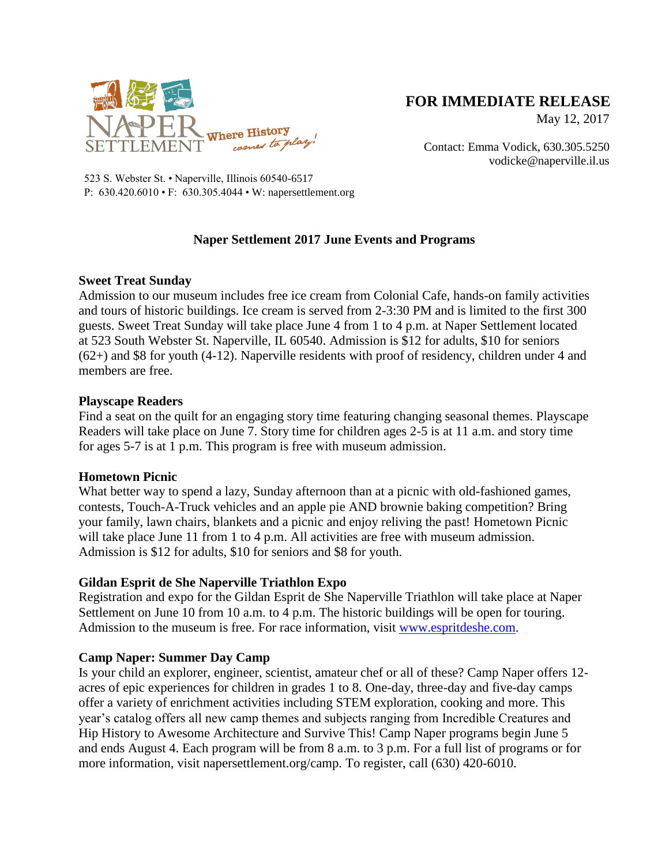

# **FOR IMMEDIATE RELEASE**

May 12, 2017

Contact: Emma Vodick, 630.305.5250 vodicke@naperville.il.us

523 S. Webster St. • Naperville, Illinois 60540-6517 P: 630.420.6010 • F: 630.305.4044 • W: napersettlement.org

## **Naper Settlement 2017 June Events and Programs**

## **Sweet Treat Sunday**

Admission to our museum includes free ice cream from Colonial Cafe, hands-on family activities and tours of historic buildings. Ice cream is served from 2-3:30 PM and is limited to the first 300 guests. Sweet Treat Sunday will take place June 4 from 1 to 4 p.m. at Naper Settlement located at 523 South Webster St. Naperville, IL 60540. Admission is \$12 for adults, \$10 for seniors (62+) and \$8 for youth (4-12). Naperville residents with proof of residency, children under 4 and members are free.

#### **Playscape Readers**

Find a seat on the quilt for an engaging story time featuring changing seasonal themes. Playscape Readers will take place on June 7. Story time for children ages 2-5 is at 11 a.m. and story time for ages 5-7 is at 1 p.m. This program is free with museum admission.

## **Hometown Picnic**

What better way to spend a lazy, Sunday afternoon than at a picnic with old-fashioned games, contests, Touch-A-Truck vehicles and an apple pie AND brownie baking competition? Bring your family, lawn chairs, blankets and a picnic and enjoy reliving the past! Hometown Picnic will take place June 11 from 1 to 4 p.m. All activities are free with museum admission. Admission is \$12 for adults, \$10 for seniors and \$8 for youth.

## **Gildan Esprit de She Naperville Triathlon Expo**

Registration and expo for the Gildan Esprit de She Naperville Triathlon will take place at Naper Settlement on June 10 from 10 a.m. to 4 p.m. The historic buildings will be open for touring. Admission to the museum is free. For race information, visit [www.espritdeshe.com.](http://www.espritdeshe.com/)

## **Camp Naper: Summer Day Camp**

Is your child an explorer, engineer, scientist, amateur chef or all of these? Camp Naper offers 12 acres of epic experiences for children in grades 1 to 8. One-day, three-day and five-day camps offer a variety of enrichment activities including STEM exploration, cooking and more. This year's catalog offers all new camp themes and subjects ranging from Incredible Creatures and Hip History to Awesome Architecture and Survive This! Camp Naper programs begin June 5 and ends August 4. Each program will be from 8 a.m. to 3 p.m. For a full list of programs or for more information, visit napersettlement.org/camp. To register, call (630) 420-6010.